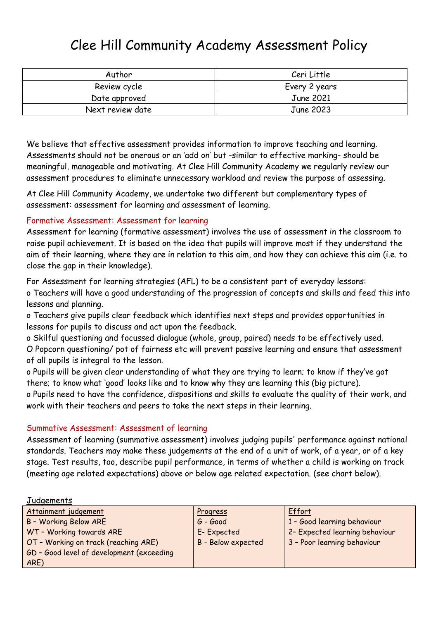## Clee Hill Community Academy Assessment Policy

| Author           | Ceri Little   |  |
|------------------|---------------|--|
| Review cycle     | Every 2 years |  |
| Date approved    | June 2021     |  |
| Next review date | June 2023     |  |

We believe that effective assessment provides information to improve teaching and learning. Assessments should not be onerous or an 'add on' but -similar to effective marking- should be meaningful, manageable and motivating. At Clee Hill Community Academy we regularly review our assessment procedures to eliminate unnecessary workload and review the purpose of assessing.

At Clee Hill Community Academy, we undertake two different but complementary types of assessment: assessment for learning and assessment of learning.

## Formative Assessment: Assessment for learning

Assessment for learning (formative assessment) involves the use of assessment in the classroom to raise pupil achievement. It is based on the idea that pupils will improve most if they understand the aim of their learning, where they are in relation to this aim, and how they can achieve this aim (i.e. to close the gap in their knowledge).

For Assessment for learning strategies (AFL) to be a consistent part of everyday lessons: o Teachers will have a good understanding of the progression of concepts and skills and feed this into lessons and planning.

o Teachers give pupils clear feedback which identifies next steps and provides opportunities in lessons for pupils to discuss and act upon the feedback.

o Skilful questioning and focussed dialogue (whole, group, paired) needs to be effectively used. O Popcorn questioning/ pot of fairness etc will prevent passive learning and ensure that assessment of all pupils is integral to the lesson.

o Pupils will be given clear understanding of what they are trying to learn; to know if they've got there; to know what 'good' looks like and to know why they are learning this (big picture).

o Pupils need to have the confidence, dispositions and skills to evaluate the quality of their work, and work with their teachers and peers to take the next steps in their learning.

#### Summative Assessment: Assessment of learning

Assessment of learning (summative assessment) involves judging pupils' performance against national standards. Teachers may make these judgements at the end of a unit of work, of a year, or of a key stage. Test results, too, describe pupil performance, in terms of whether a child is working on track (meeting age related expectations) above or below age related expectation. (see chart below).

| Judgements                                |                           |                                |
|-------------------------------------------|---------------------------|--------------------------------|
| Attainment judgement                      | Progress                  | Effort                         |
| <b>B - Working Below ARE</b>              | G - Good                  | 1 - Good learning behaviour    |
| WT - Working towards ARE                  | E-Expected                | 2- Expected learning behaviour |
| OT - Working on track (reaching ARE)      | <b>B</b> - Below expected | 3 - Poor learning behaviour    |
| GD - Good level of development (exceeding |                           |                                |
| ARE)                                      |                           |                                |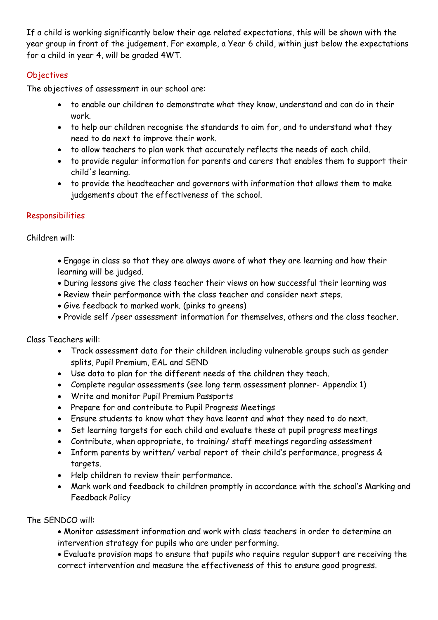If a child is working significantly below their age related expectations, this will be shown with the year group in front of the judgement. For example, a Year 6 child, within just below the expectations for a child in year 4, will be graded 4WT.

## **Objectives**

The objectives of assessment in our school are:

- to enable our children to demonstrate what they know, understand and can do in their work.
- to help our children recognise the standards to aim for, and to understand what they need to do next to improve their work.
- to allow teachers to plan work that accurately reflects the needs of each child.
- to provide regular information for parents and carers that enables them to support their child's learning.
- to provide the headteacher and governors with information that allows them to make judgements about the effectiveness of the school.

## Responsibilities

Children will:

- Engage in class so that they are always aware of what they are learning and how their learning will be judged.
- During lessons give the class teacher their views on how successful their learning was
- Review their performance with the class teacher and consider next steps.
- Give feedback to marked work. (pinks to greens)
- Provide self /peer assessment information for themselves, others and the class teacher.

Class Teachers will:

- Track assessment data for their children including vulnerable groups such as gender splits, Pupil Premium, EAL and SEND
- Use data to plan for the different needs of the children they teach.
- Complete regular assessments (see long term assessment planner- Appendix 1)
- Write and monitor Pupil Premium Passports
- Prepare for and contribute to Pupil Progress Meetings
- Ensure students to know what they have learnt and what they need to do next.
- Set learning targets for each child and evaluate these at pupil progress meetings
- Contribute, when appropriate, to training/ staff meetings regarding assessment
- Inform parents by written/ verbal report of their child's performance, progress & targets.
- Help children to review their performance.
- Mark work and feedback to children promptly in accordance with the school's Marking and Feedback Policy

The SENDCO will:

- Monitor assessment information and work with class teachers in order to determine an intervention strategy for pupils who are under performing.
- Evaluate provision maps to ensure that pupils who require regular support are receiving the correct intervention and measure the effectiveness of this to ensure good progress.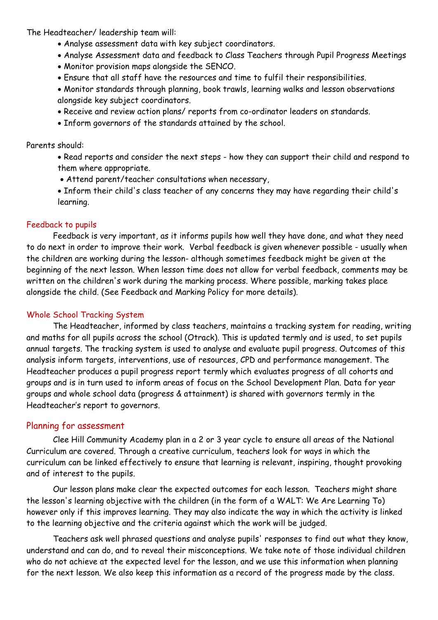The Headteacher/ leadership team will:

- Analyse assessment data with key subject coordinators.
- Analyse Assessment data and feedback to Class Teachers through Pupil Progress Meetings
- Monitor provision maps alongside the SENCO.
- Ensure that all staff have the resources and time to fulfil their responsibilities.
- Monitor standards through planning, book trawls, learning walks and lesson observations alongside key subject coordinators.
- Receive and review action plans/ reports from co-ordinator leaders on standards.
- Inform governors of the standards attained by the school.

Parents should:

- Read reports and consider the next steps how they can support their child and respond to them where appropriate.
- Attend parent/teacher consultations when necessary,
- Inform their child's class teacher of any concerns they may have regarding their child's learning.

## Feedback to pupils

Feedback is very important, as it informs pupils how well they have done, and what they need to do next in order to improve their work. Verbal feedback is given whenever possible - usually when the children are working during the lesson- although sometimes feedback might be given at the beginning of the next lesson. When lesson time does not allow for verbal feedback, comments may be written on the children's work during the marking process. Where possible, marking takes place alongside the child. (See Feedback and Marking Policy for more details).

## Whole School Tracking System

The Headteacher, informed by class teachers, maintains a tracking system for reading, writing and maths for all pupils across the school (Otrack). This is updated termly and is used, to set pupils annual targets. The tracking system is used to analyse and evaluate pupil progress. Outcomes of this analysis inform targets, interventions, use of resources, CPD and performance management. The Headteacher produces a pupil progress report termly which evaluates progress of all cohorts and groups and is in turn used to inform areas of focus on the School Development Plan. Data for year groups and whole school data (progress & attainment) is shared with governors termly in the Headteacher's report to governors.

## Planning for assessment

Clee Hill Community Academy plan in a 2 or 3 year cycle to ensure all areas of the National Curriculum are covered. Through a creative curriculum, teachers look for ways in which the curriculum can be linked effectively to ensure that learning is relevant, inspiring, thought provoking and of interest to the pupils.

Our lesson plans make clear the expected outcomes for each lesson. Teachers might share the lesson's learning objective with the children (in the form of a WALT: We Are Learning To) however only if this improves learning. They may also indicate the way in which the activity is linked to the learning objective and the criteria against which the work will be judged.

Teachers ask well phrased questions and analyse pupils' responses to find out what they know, understand and can do, and to reveal their misconceptions. We take note of those individual children who do not achieve at the expected level for the lesson, and we use this information when planning for the next lesson. We also keep this information as a record of the progress made by the class.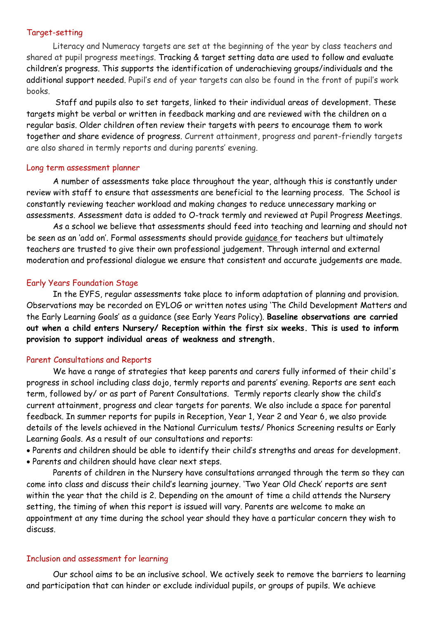#### Target-setting

Literacy and Numeracy targets are set at the beginning of the year by class teachers and shared at pupil progress meetings. Tracking & target setting data are used to follow and evaluate children's progress. This supports the identification of underachieving groups/individuals and the additional support needed. Pupil's end of year targets can also be found in the front of pupil's work books.

Staff and pupils also to set targets, linked to their individual areas of development. These targets might be verbal or written in feedback marking and are reviewed with the children on a regular basis. Older children often review their targets with peers to encourage them to work together and share evidence of progress. Current attainment, progress and parent-friendly targets are also shared in termly reports and during parents' evening.

#### Long term assessment planner

A number of assessments take place throughout the year, although this is constantly under review with staff to ensure that assessments are beneficial to the learning process. The School is constantly reviewing teacher workload and making changes to reduce unnecessary marking or assessments. Assessment data is added to O-track termly and reviewed at Pupil Progress Meetings.

As a school we believe that assessments should feed into teaching and learning and should not be seen as an 'add on'. Formal assessments should provide guidance for teachers but ultimately teachers are trusted to give their own professional judgement. Through internal and external moderation and professional dialogue we ensure that consistent and accurate judgements are made.

#### Early Years Foundation Stage

In the EYFS, regular assessments take place to inform adaptation of planning and provision. Observations may be recorded on EYLOG or written notes using 'The Child Development Matters and the Early Learning Goals' as a guidance (see Early Years Policy). **Baseline observations are carried out when a child enters Nursery/ Reception within the first six weeks. This is used to inform provision to support individual areas of weakness and strength.** 

#### Parent Consultations and Reports

We have a range of strategies that keep parents and carers fully informed of their child's progress in school including class dojo, termly reports and parents' evening. Reports are sent each term, followed by/ or as part of Parent Consultations. Termly reports clearly show the child's current attainment, progress and clear targets for parents. We also include a space for parental feedback. In summer reports for pupils in Reception, Year 1, Year 2 and Year 6, we also provide details of the levels achieved in the National Curriculum tests/ Phonics Screening results or Early Learning Goals. As a result of our consultations and reports:

• Parents and children should be able to identify their child's strengths and areas for development.

• Parents and children should have clear next steps.

Parents of children in the Nursery have consultations arranged through the term so they can come into class and discuss their child's learning journey. 'Two Year Old Check' reports are sent within the year that the child is 2. Depending on the amount of time a child attends the Nursery setting, the timing of when this report is issued will vary. Parents are welcome to make an appointment at any time during the school year should they have a particular concern they wish to discuss.

#### Inclusion and assessment for learning

Our school aims to be an inclusive school. We actively seek to remove the barriers to learning and participation that can hinder or exclude individual pupils, or groups of pupils. We achieve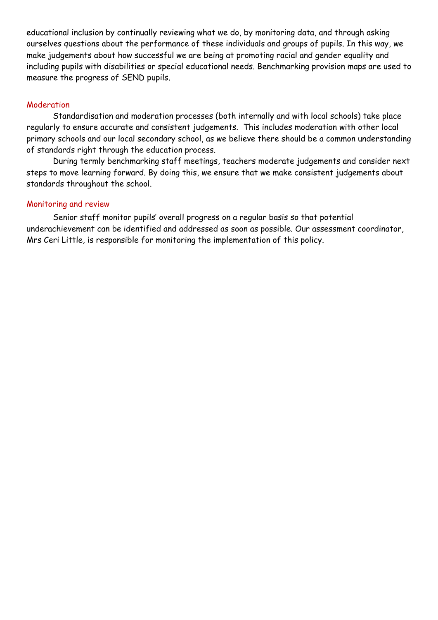educational inclusion by continually reviewing what we do, by monitoring data, and through asking ourselves questions about the performance of these individuals and groups of pupils. In this way, we make judgements about how successful we are being at promoting racial and gender equality and including pupils with disabilities or special educational needs. Benchmarking provision maps are used to measure the progress of SEND pupils.

## Moderation

Standardisation and moderation processes (both internally and with local schools) take place regularly to ensure accurate and consistent judgements. This includes moderation with other local primary schools and our local secondary school, as we believe there should be a common understanding of standards right through the education process.

During termly benchmarking staff meetings, teachers moderate judgements and consider next steps to move learning forward. By doing this, we ensure that we make consistent judgements about standards throughout the school.

#### Monitoring and review

Senior staff monitor pupils' overall progress on a regular basis so that potential underachievement can be identified and addressed as soon as possible. Our assessment coordinator, Mrs Ceri Little, is responsible for monitoring the implementation of this policy.